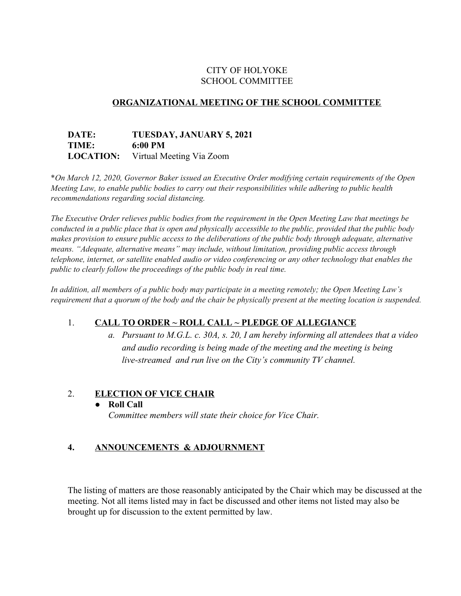# CITY OF HOLYOKE SCHOOL COMMITTEE

# **ORGANIZATIONAL MEETING OF THE SCHOOL COMMITTEE**

## **DATE: TUESDAY, JANUARY 5, 2021 TIME: 6:00 PM LOCATION:** Virtual Meeting Via Zoom

\**On March 12, 2020, Governor Baker issued an Executive Order modifying certain requirements of the Open Meeting Law, to enable public bodies to carry out their responsibilities while adhering to public health recommendations regarding social distancing.*

*The Executive Order relieves public bodies from the requirement in the Open Meeting Law that meetings be* conducted in a public place that is open and physically accessible to the public, provided that the public body *makes provision to ensure public access to the deliberations of the public body through adequate, alternative means. "Adequate, alternative means" may include, without limitation, providing public access through telephone, internet, or satellite enabled audio or video conferencing or any other technology that enables the public to clearly follow the proceedings of the public body in real time.*

In addition, all members of a public body may participate in a meeting remotely; the Open Meeting Law's requirement that a quorum of the body and the chair be physically present at the meeting location is suspended.

# 1. **CALL TO ORDER ~ ROLL CALL ~ PLEDGE OF ALLEGIANCE**

*a. Pursuant to M.G.L. c. 30A, s. 20, I am hereby informing all attendees that a video and audio recording is being made of the meeting and the meeting is being live-streamed and run live on the City's community TV channel.*

## 2. **ELECTION OF VICE CHAIR**

## ● **Roll Call**

*Committee members will state their choice for Vice Chair.*

## **4. ANNOUNCEMENTS & ADJOURNMENT**

The listing of matters are those reasonably anticipated by the Chair which may be discussed at the meeting. Not all items listed may in fact be discussed and other items not listed may also be brought up for discussion to the extent permitted by law.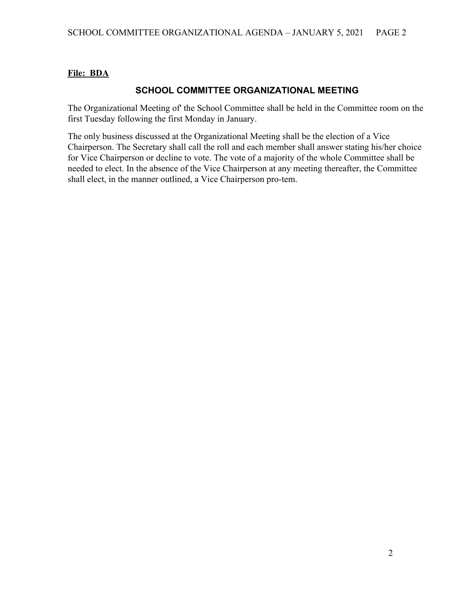# **File: BDA**

# **SCHOOL COMMITTEE ORGANIZATIONAL MEETING**

The Organizational Meeting of' the School Committee shall be held in the Committee room on the first Tuesday following the first Monday in January.

The only business discussed at the Organizational Meeting shall be the election of a Vice Chairperson. The Secretary shall call the roll and each member shall answer stating his/her choice for Vice Chairperson or decline to vote. The vote of a majority of the whole Committee shall be needed to elect. In the absence of the Vice Chairperson at any meeting thereafter, the Committee shall elect, in the manner outlined, a Vice Chairperson pro-tem.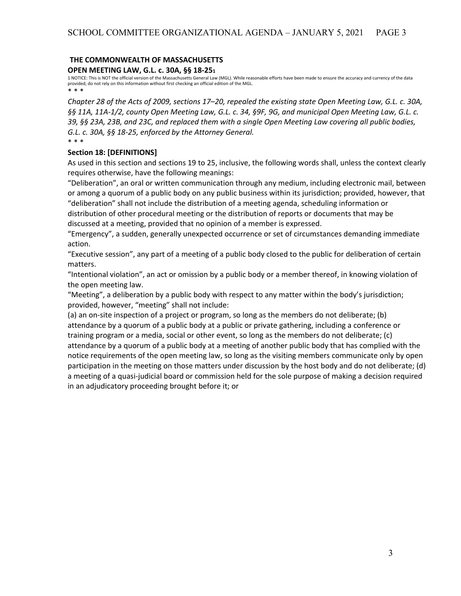# **THE COMMONWEALTH OF MASSACHUSETTS**

**OPEN MEETING LAW, G.L. c. 30A, §§ 18-25<sup>1</sup>**

1 NOTICE: This is NOT the official version of the Massachusetts General Law (MGL). While reasonable efforts have been made to ensure the accuracy and currency of the data provided, do not rely on this information without first checking an official edition of the MGL. \* \* \*

Chapter 28 of the Acts of 2009, sections 17–20, repealed the existing state Open Meeting Law, G.L. c. 30A, §§ 11A, 11A-1/2, county Open Meeting Law, G.L. c. 34, §9F, 9G, and municipal Open Meeting Law, G.L. c. 39, §§ 23A, 23B, and 23C, and replaced them with a single Open Meeting Law covering all public bodies, *G.L. c. 30A, §§ 18-25, enforced by the Attorney General.* \* \* \*

## **Section 18: [DEFINITIONS]**

As used in this section and sections 19 to 25, inclusive, the following words shall, unless the context clearly requires otherwise, have the following meanings:

"Deliberation", an oral or written communication through any medium, including electronic mail, between or among a quorum of a public body on any public business within its jurisdiction; provided, however, that "deliberation" shall not include the distribution of a meeting agenda, scheduling information or

distribution of other procedural meeting or the distribution of reports or documents that may be discussed at a meeting, provided that no opinion of a member is expressed.

"Emergency", a sudden, generally unexpected occurrence or set of circumstances demanding immediate action.

"Executive session", any part of a meeting of a public body closed to the public for deliberation of certain matters.

"Intentional violation", an act or omission by a public body or a member thereof, in knowing violation of the open meeting law.

"Meeting", a deliberation by a public body with respect to any matter within the body's jurisdiction; provided, however, "meeting" shall not include:

(a) an on-site inspection of a project or program, so long as the members do not deliberate; (b) attendance by a quorum of a public body at a public or private gathering, including a conference or training program or a media, social or other event, so long as the members do not deliberate; (c) attendance by a quorum of a public body at a meeting of another public body that has complied with the notice requirements of the open meeting law, so long as the visiting members communicate only by open participation in the meeting on those matters under discussion by the host body and do not deliberate; (d) a meeting of a quasi-judicial board or commission held for the sole purpose of making a decision required in an adjudicatory proceeding brought before it; or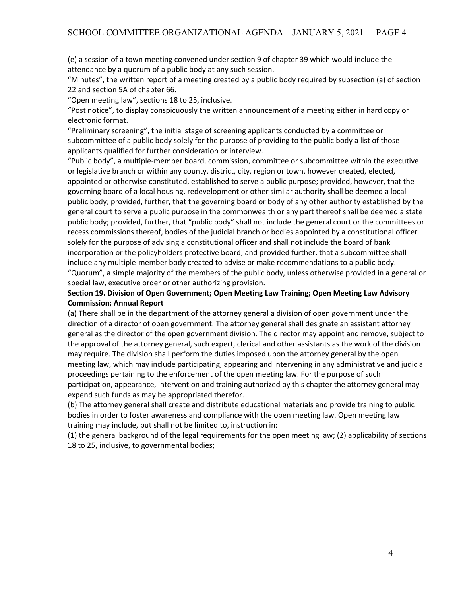(e) a session of a town meeting convened under section 9 of chapter 39 which would include the attendance by a quorum of a public body at any such session.

"Minutes", the written report of a meeting created by a public body required by subsection (a) of section 22 and section 5A of chapter 66.

"Open meeting law", sections 18 to 25, inclusive.

"Post notice", to display conspicuously the written announcement of a meeting either in hard copy or electronic format.

"Preliminary screening", the initial stage of screening applicants conducted by a committee or subcommittee of a public body solely for the purpose of providing to the public body a list of those applicants qualified for further consideration or interview.

"Public body", a multiple-member board, commission, committee or subcommittee within the executive or legislative branch or within any county, district, city, region or town, however created, elected, appointed or otherwise constituted, established to serve a public purpose; provided, however, that the governing board of a local housing, redevelopment or other similar authority shall be deemed a local public body; provided, further, that the governing board or body of any other authority established by the general court to serve a public purpose in the commonwealth or any part thereof shall be deemed a state public body; provided, further, that "public body" shall not include the general court or the committees or recess commissions thereof, bodies of the judicial branch or bodies appointed by a constitutional officer solely for the purpose of advising a constitutional officer and shall not include the board of bank incorporation or the policyholders protective board; and provided further, that a subcommittee shall include any multiple-member body created to advise or make recommendations to a public body. "Quorum", a simple majority of the members of the public body, unless otherwise provided in a general or special law, executive order or other authorizing provision.

## **Section 19. Division of Open Government; Open Meeting Law Training; Open Meeting Law Advisory Commission; Annual Report**

(a) There shall be in the department of the attorney general a division of open government under the direction of a director of open government. The attorney general shall designate an assistant attorney general as the director of the open government division. The director may appoint and remove, subject to the approval of the attorney general, such expert, clerical and other assistants as the work of the division may require. The division shall perform the duties imposed upon the attorney general by the open meeting law, which may include participating, appearing and intervening in any administrative and judicial proceedings pertaining to the enforcement of the open meeting law. For the purpose of such participation, appearance, intervention and training authorized by this chapter the attorney general may expend such funds as may be appropriated therefor.

(b) The attorney general shall create and distribute educational materials and provide training to public bodies in order to foster awareness and compliance with the open meeting law. Open meeting law training may include, but shall not be limited to, instruction in:

(1) the general background of the legal requirements for the open meeting law; (2) applicability of sections 18 to 25, inclusive, to governmental bodies;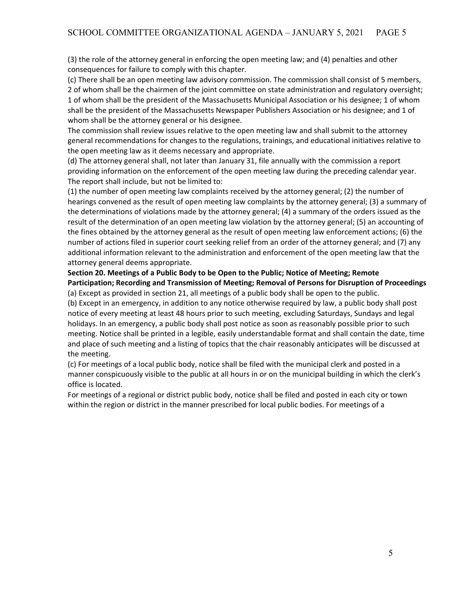(3) the role of the attorney general in enforcing the open meeting law; and (4) penalties and other consequences for failure to comply with this chapter.

(c) There shall be an open meeting law advisory commission. The commission shall consist of 5 members, 2 of whom shall be the chairmen of the joint committee on state administration and regulatory oversight; 1 of whom shall be the president of the Massachusetts Municipal Association or his designee; 1 of whom shall be the president of the Massachusetts Newspaper Publishers Association or his designee; and 1 of whom shall be the attorney general or his designee.

The commission shall review issues relative to the open meeting law and shall submit to the attorney general recommendations for changes to the regulations, trainings, and educational initiatives relative to the open meeting law as it deems necessary and appropriate.

(d) The attorney general shall, not later than January 31, file annually with the commission a report providing information on the enforcement of the open meeting law during the preceding calendar year. The report shall include, but not be limited to:

(1) the number of open meeting law complaints received by the attorney general; (2) the number of hearings convened as the result of open meeting law complaints by the attorney general; (3) a summary of the determinations of violations made by the attorney general; (4) a summary of the orders issued as the result of the determination of an open meeting law violation by the attorney general; (5) an accounting of the fines obtained by the attorney general as the result of open meeting law enforcement actions; (6) the number of actions filed in superior court seeking relief from an order of the attorney general; and (7) any additional information relevant to the administration and enforcement of the open meeting law that the attorney general deems appropriate.

### **Section 20. Meetings of a Public Body to be Open to the Public; Notice of Meeting; Remote Participation; Recording and Transmission of Meeting; Removal of Persons for Disruption of Proceedings** (a) Except as provided in section 21, all meetings of a public body shall be open to the public.

(b) Except in an emergency, in addition to any notice otherwise required by law, a public body shall post notice of every meeting at least 48 hours prior to such meeting, excluding Saturdays, Sundays and legal holidays. In an emergency, a public body shall post notice as soon as reasonably possible prior to such meeting. Notice shall be printed in a legible, easily understandable format and shall contain the date, time and place of such meeting and a listing of topics that the chair reasonably anticipates will be discussed at the meeting.

(c) For meetings of a local public body, notice shall be filed with the municipal clerk and posted in a manner conspicuously visible to the public at all hours in or on the municipal building in which the clerk's office is located.

For meetings of a regional or district public body, notice shall be filed and posted in each city or town within the region or district in the manner prescribed for local public bodies. For meetings of a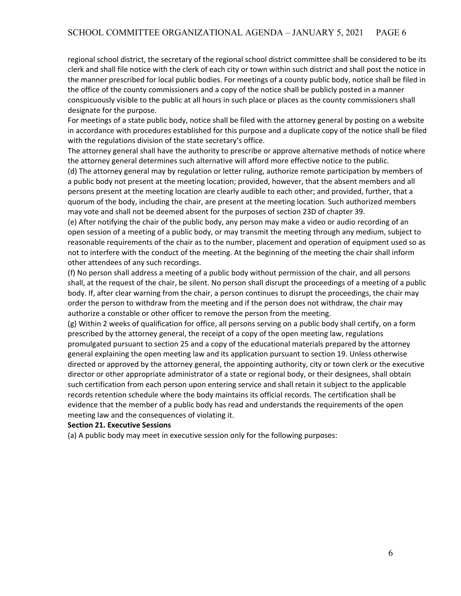regional school district, the secretary of the regional school district committee shall be considered to be its clerk and shall file notice with the clerk of each city or town within such district and shall post the notice in the manner prescribed for local public bodies. For meetings of a county public body, notice shall be filed in the office of the county commissioners and a copy of the notice shall be publicly posted in a manner conspicuously visible to the public at all hours in such place or places as the county commissioners shall designate for the purpose.

For meetings of a state public body, notice shall be filed with the attorney general by posting on a website in accordance with procedures established for this purpose and a duplicate copy of the notice shall be filed with the regulations division of the state secretary's office.

The attorney general shall have the authority to prescribe or approve alternative methods of notice where the attorney general determines such alternative will afford more effective notice to the public.

(d) The attorney general may by regulation or letter ruling, authorize remote participation by members of a public body not present at the meeting location; provided, however, that the absent members and all persons present at the meeting location are clearly audible to each other; and provided, further, that a quorum of the body, including the chair, are present at the meeting location. Such authorized members may vote and shall not be deemed absent for the purposes of section 23D of chapter 39.

(e) After notifying the chair of the public body, any person may make a video or audio recording of an open session of a meeting of a public body, or may transmit the meeting through any medium, subject to reasonable requirements of the chair as to the number, placement and operation of equipment used so as not to interfere with the conduct of the meeting. At the beginning of the meeting the chair shall inform other attendees of any such recordings.

(f) No person shall address a meeting of a public body without permission of the chair, and all persons shall, at the request of the chair, be silent. No person shall disrupt the proceedings of a meeting of a public body. If, after clear warning from the chair, a person continues to disrupt the proceedings, the chair may order the person to withdraw from the meeting and if the person does not withdraw, the chair may authorize a constable or other officer to remove the person from the meeting.

(g) Within 2 weeks of qualification for office, all persons serving on a public body shall certify, on a form prescribed by the attorney general, the receipt of a copy of the open meeting law, regulations promulgated pursuant to section 25 and a copy of the educational materials prepared by the attorney general explaining the open meeting law and its application pursuant to section 19. Unless otherwise directed or approved by the attorney general, the appointing authority, city or town clerk or the executive director or other appropriate administrator of a state or regional body, or their designees, shall obtain such certification from each person upon entering service and shall retain it subject to the applicable records retention schedule where the body maintains its official records. The certification shall be evidence that the member of a public body has read and understands the requirements of the open meeting law and the consequences of violating it.

#### **Section 21. Executive Sessions**

(a) A public body may meet in executive session only for the following purposes: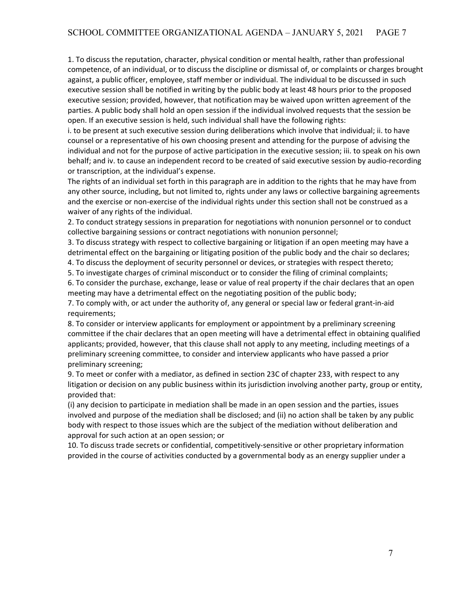1. To discuss the reputation, character, physical condition or mental health, rather than professional competence, of an individual, or to discuss the discipline or dismissal of, or complaints or charges brought against, a public officer, employee, staff member or individual. The individual to be discussed in such executive session shall be notified in writing by the public body at least 48 hours prior to the proposed executive session; provided, however, that notification may be waived upon written agreement of the parties. A public body shall hold an open session if the individual involved requests that the session be open. If an executive session is held, such individual shall have the following rights:

i. to be present at such executive session during deliberations which involve that individual; ii. to have counsel or a representative of his own choosing present and attending for the purpose of advising the individual and not for the purpose of active participation in the executive session; iii. to speak on his own behalf; and iv. to cause an independent record to be created of said executive session by audio-recording or transcription, at the individual's expense.

The rights of an individual set forth in this paragraph are in addition to the rights that he may have from any other source, including, but not limited to, rights under any laws or collective bargaining agreements and the exercise or non-exercise of the individual rights under this section shall not be construed as a waiver of any rights of the individual.

2. To conduct strategy sessions in preparation for negotiations with nonunion personnel or to conduct collective bargaining sessions or contract negotiations with nonunion personnel;

3. To discuss strategy with respect to collective bargaining or litigation if an open meeting may have a detrimental effect on the bargaining or litigating position of the public body and the chair so declares;

4. To discuss the deployment of security personnel or devices, or strategies with respect thereto;

5. To investigate charges of criminal misconduct or to consider the filing of criminal complaints;

6. To consider the purchase, exchange, lease or value of real property if the chair declares that an open meeting may have a detrimental effect on the negotiating position of the public body;

7. To comply with, or act under the authority of, any general or special law or federal grant-in-aid requirements;

8. To consider or interview applicants for employment or appointment by a preliminary screening committee if the chair declares that an open meeting will have a detrimental effect in obtaining qualified applicants; provided, however, that this clause shall not apply to any meeting, including meetings of a preliminary screening committee, to consider and interview applicants who have passed a prior preliminary screening;

9. To meet or confer with a mediator, as defined in section 23C of chapter 233, with respect to any litigation or decision on any public business within its jurisdiction involving another party, group or entity, provided that:

(i) any decision to participate in mediation shall be made in an open session and the parties, issues involved and purpose of the mediation shall be disclosed; and (ii) no action shall be taken by any public body with respect to those issues which are the subject of the mediation without deliberation and approval for such action at an open session; or

10. To discuss trade secrets or confidential, competitively-sensitive or other proprietary information provided in the course of activities conducted by a governmental body as an energy supplier under a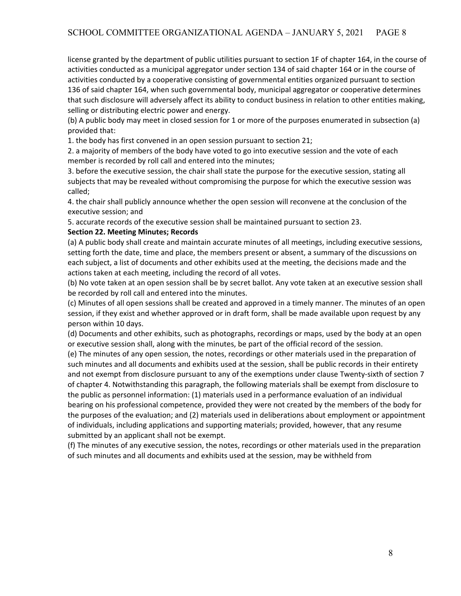license granted by the department of public utilities pursuant to section 1F of chapter 164, in the course of activities conducted as a municipal aggregator under section 134 of said chapter 164 or in the course of activities conducted by a cooperative consisting of governmental entities organized pursuant to section 136 of said chapter 164, when such governmental body, municipal aggregator or cooperative determines that such disclosure will adversely affect its ability to conduct business in relation to other entities making, selling or distributing electric power and energy.

(b) A public body may meet in closed session for 1 or more of the purposes enumerated in subsection (a) provided that:

1. the body has first convened in an open session pursuant to section 21;

2. a majority of members of the body have voted to go into executive session and the vote of each member is recorded by roll call and entered into the minutes;

3. before the executive session, the chair shall state the purpose for the executive session, stating all subjects that may be revealed without compromising the purpose for which the executive session was called;

4. the chair shall publicly announce whether the open session will reconvene at the conclusion of the executive session; and

5. accurate records of the executive session shall be maintained pursuant to section 23.

### **Section 22. Meeting Minutes; Records**

(a) A public body shall create and maintain accurate minutes of all meetings, including executive sessions, setting forth the date, time and place, the members present or absent, a summary of the discussions on each subject, a list of documents and other exhibits used at the meeting, the decisions made and the actions taken at each meeting, including the record of all votes.

(b) No vote taken at an open session shall be by secret ballot. Any vote taken at an executive session shall be recorded by roll call and entered into the minutes.

(c) Minutes of all open sessions shall be created and approved in a timely manner. The minutes of an open session, if they exist and whether approved or in draft form, shall be made available upon request by any person within 10 days.

(d) Documents and other exhibits, such as photographs, recordings or maps, used by the body at an open or executive session shall, along with the minutes, be part of the official record of the session.

(e) The minutes of any open session, the notes, recordings or other materials used in the preparation of such minutes and all documents and exhibits used at the session, shall be public records in their entirety and not exempt from disclosure pursuant to any of the exemptions under clause Twenty-sixth of section 7 of chapter 4. Notwithstanding this paragraph, the following materials shall be exempt from disclosure to the public as personnel information: (1) materials used in a performance evaluation of an individual bearing on his professional competence, provided they were not created by the members of the body for the purposes of the evaluation; and (2) materials used in deliberations about employment or appointment of individuals, including applications and supporting materials; provided, however, that any resume submitted by an applicant shall not be exempt.

(f) The minutes of any executive session, the notes, recordings or other materials used in the preparation of such minutes and all documents and exhibits used at the session, may be withheld from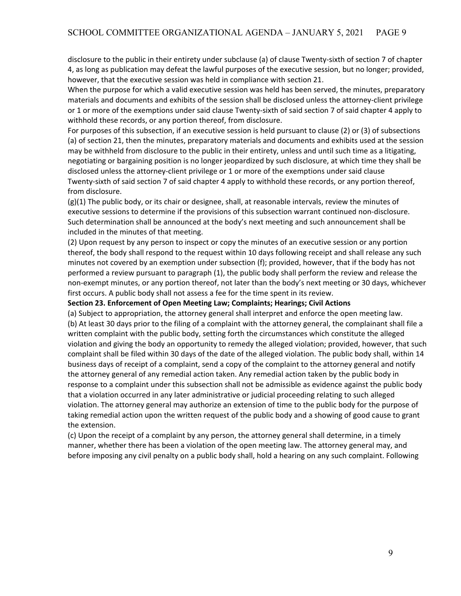disclosure to the public in their entirety under subclause (a) of clause Twenty-sixth of section 7 of chapter 4, as long as publication may defeat the lawful purposes of the executive session, but no longer; provided, however, that the executive session was held in compliance with section 21.

When the purpose for which a valid executive session was held has been served, the minutes, preparatory materials and documents and exhibits of the session shall be disclosed unless the attorney-client privilege or 1 or more of the exemptions under said clause Twenty-sixth of said section 7 of said chapter 4 apply to withhold these records, or any portion thereof, from disclosure.

For purposes of this subsection, if an executive session is held pursuant to clause (2) or (3) of subsections (a) of section 21, then the minutes, preparatory materials and documents and exhibits used at the session may be withheld from disclosure to the public in their entirety, unless and until such time as a litigating, negotiating or bargaining position is no longer jeopardized by such disclosure, at which time they shall be disclosed unless the attorney-client privilege or 1 or more of the exemptions under said clause Twenty-sixth of said section 7 of said chapter 4 apply to withhold these records, or any portion thereof, from disclosure.

(g)(1) The public body, or its chair or designee, shall, at reasonable intervals, review the minutes of executive sessions to determine if the provisions of this subsection warrant continued non-disclosure. Such determination shall be announced at the body's next meeting and such announcement shall be included in the minutes of that meeting.

(2) Upon request by any person to inspect or copy the minutes of an executive session or any portion thereof, the body shall respond to the request within 10 days following receipt and shall release any such minutes not covered by an exemption under subsection (f); provided, however, that if the body has not performed a review pursuant to paragraph (1), the public body shall perform the review and release the non-exempt minutes, or any portion thereof, not later than the body's next meeting or 30 days, whichever first occurs. A public body shall not assess a fee for the time spent in its review.

### **Section 23. Enforcement of Open Meeting Law; Complaints; Hearings; Civil Actions**

(a) Subject to appropriation, the attorney general shall interpret and enforce the open meeting law. (b) At least 30 days prior to the filing of a complaint with the attorney general, the complainant shall file a written complaint with the public body, setting forth the circumstances which constitute the alleged violation and giving the body an opportunity to remedy the alleged violation; provided, however, that such complaint shall be filed within 30 days of the date of the alleged violation. The public body shall, within 14 business days of receipt of a complaint, send a copy of the complaint to the attorney general and notify the attorney general of any remedial action taken. Any remedial action taken by the public body in response to a complaint under this subsection shall not be admissible as evidence against the public body that a violation occurred in any later administrative or judicial proceeding relating to such alleged violation. The attorney general may authorize an extension of time to the public body for the purpose of taking remedial action upon the written request of the public body and a showing of good cause to grant the extension.

(c) Upon the receipt of a complaint by any person, the attorney general shall determine, in a timely manner, whether there has been a violation of the open meeting law. The attorney general may, and before imposing any civil penalty on a public body shall, hold a hearing on any such complaint. Following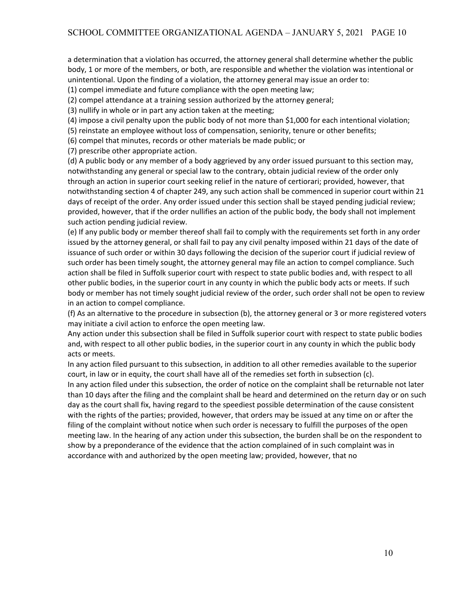a determination that a violation has occurred, the attorney general shall determine whether the public body, 1 or more of the members, or both, are responsible and whether the violation was intentional or unintentional. Upon the finding of a violation, the attorney general may issue an order to:

(1) compel immediate and future compliance with the open meeting law;

(2) compel attendance at a training session authorized by the attorney general;

(3) nullify in whole or in part any action taken at the meeting;

(4) impose a civil penalty upon the public body of not more than \$1,000 for each intentional violation;

(5) reinstate an employee without loss of compensation, seniority, tenure or other benefits;

(6) compel that minutes, records or other materials be made public; or

(7) prescribe other appropriate action.

(d) A public body or any member of a body aggrieved by any order issued pursuant to this section may, notwithstanding any general or special law to the contrary, obtain judicial review of the order only through an action in superior court seeking relief in the nature of certiorari; provided, however, that notwithstanding section 4 of chapter 249, any such action shall be commenced in superior court within 21 days of receipt of the order. Any order issued under this section shall be stayed pending judicial review; provided, however, that if the order nullifies an action of the public body, the body shall not implement such action pending judicial review.

(e) If any public body or member thereof shall fail to comply with the requirements set forth in any order issued by the attorney general, or shall fail to pay any civil penalty imposed within 21 days of the date of issuance of such order or within 30 days following the decision of the superior court if judicial review of such order has been timely sought, the attorney general may file an action to compel compliance. Such action shall be filed in Suffolk superior court with respect to state public bodies and, with respect to all other public bodies, in the superior court in any county in which the public body acts or meets. If such body or member has not timely sought judicial review of the order, such order shall not be open to review in an action to compel compliance.

(f) As an alternative to the procedure in subsection (b), the attorney general or 3 or more registered voters may initiate a civil action to enforce the open meeting law.

Any action under this subsection shall be filed in Suffolk superior court with respect to state public bodies and, with respect to all other public bodies, in the superior court in any county in which the public body acts or meets.

In any action filed pursuant to this subsection, in addition to all other remedies available to the superior court, in law or in equity, the court shall have all of the remedies set forth in subsection (c).

In any action filed under this subsection, the order of notice on the complaint shall be returnable not later than 10 days after the filing and the complaint shall be heard and determined on the return day or on such day as the court shall fix, having regard to the speediest possible determination of the cause consistent with the rights of the parties; provided, however, that orders may be issued at any time on or after the filing of the complaint without notice when such order is necessary to fulfill the purposes of the open meeting law. In the hearing of any action under this subsection, the burden shall be on the respondent to show by a preponderance of the evidence that the action complained of in such complaint was in accordance with and authorized by the open meeting law; provided, however, that no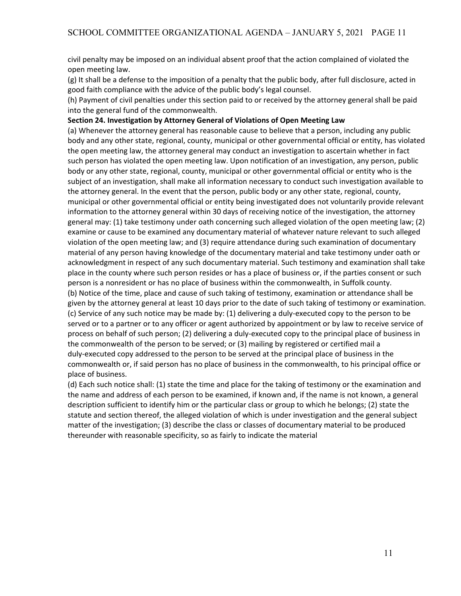civil penalty may be imposed on an individual absent proof that the action complained of violated the open meeting law.

(g) It shall be a defense to the imposition of a penalty that the public body, after full disclosure, acted in good faith compliance with the advice of the public body's legal counsel.

(h) Payment of civil penalties under this section paid to or received by the attorney general shall be paid into the general fund of the commonwealth.

### **Section 24. Investigation by Attorney General of Violations of Open Meeting Law**

(a) Whenever the attorney general has reasonable cause to believe that a person, including any public body and any other state, regional, county, municipal or other governmental official or entity, has violated the open meeting law, the attorney general may conduct an investigation to ascertain whether in fact such person has violated the open meeting law. Upon notification of an investigation, any person, public body or any other state, regional, county, municipal or other governmental official or entity who is the subject of an investigation, shall make all information necessary to conduct such investigation available to the attorney general. In the event that the person, public body or any other state, regional, county, municipal or other governmental official or entity being investigated does not voluntarily provide relevant information to the attorney general within 30 days of receiving notice of the investigation, the attorney general may: (1) take testimony under oath concerning such alleged violation of the open meeting law; (2) examine or cause to be examined any documentary material of whatever nature relevant to such alleged violation of the open meeting law; and (3) require attendance during such examination of documentary material of any person having knowledge of the documentary material and take testimony under oath or acknowledgment in respect of any such documentary material. Such testimony and examination shall take place in the county where such person resides or has a place of business or, if the parties consent or such person is a nonresident or has no place of business within the commonwealth, in Suffolk county. (b) Notice of the time, place and cause of such taking of testimony, examination or attendance shall be given by the attorney general at least 10 days prior to the date of such taking of testimony or examination. (c) Service of any such notice may be made by: (1) delivering a duly-executed copy to the person to be served or to a partner or to any officer or agent authorized by appointment or by law to receive service of process on behalf of such person; (2) delivering a duly-executed copy to the principal place of business in the commonwealth of the person to be served; or (3) mailing by registered or certified mail a duly-executed copy addressed to the person to be served at the principal place of business in the commonwealth or, if said person has no place of business in the commonwealth, to his principal office or place of business.

(d) Each such notice shall: (1) state the time and place for the taking of testimony or the examination and the name and address of each person to be examined, if known and, if the name is not known, a general description sufficient to identify him or the particular class or group to which he belongs; (2) state the statute and section thereof, the alleged violation of which is under investigation and the general subject matter of the investigation; (3) describe the class or classes of documentary material to be produced thereunder with reasonable specificity, so as fairly to indicate the material